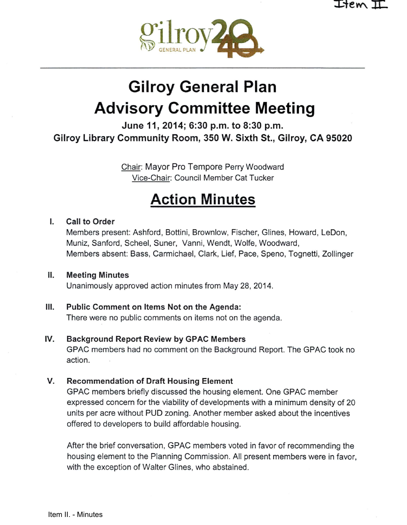

# Gilroy General Plan Advisory Committee Meeting

June 11, 2014; 6:30 p.m. to 8:30 p.m. Gilroy Library Community Room, 350 W. Sixth St., Gilroy, CA 95020

> Chair: Mayor Pro Tempore Perry Woodward Vice-Chair: Council Member Cat Tucker

## Action Minutes

#### I. Call to Order

Members present: Ashford, Bottini, Brownlow, Fischer, Glines, Howard, LeDon, Muniz, Sanford, Scheel, Suner, Vanni, Wendt, Wolfe, Woodward, Members absent: Bass, Carmichael, Clark, Lief, Pace, Speno, Tognetti, Zollinger

#### Il. Meeting Minutes Unanimously approved action minutes from May 28, 2014.

### III. Public Comment on Items Not on the Agenda:

There were no public comments on items not on the agenda.

#### IV. Background Report Review by GPAC Members

GPAC members had no comment on the Background Report. The GPAC took no action.

#### V. Recommendation of Draft Housing Element

GPAC members briefly discussed the housing element. One GPAC member expressed concern for the viability of developments with a minimum density of 20 units per acre without PUD zoning. Another member asked about the incentives offered to developers to build affordable housing.

After the brief conversation, GPAC members voted in favor of recommending the housing element to the Planning Commission. All present members were in favor, with the exception of Walter Glines, who abstained.